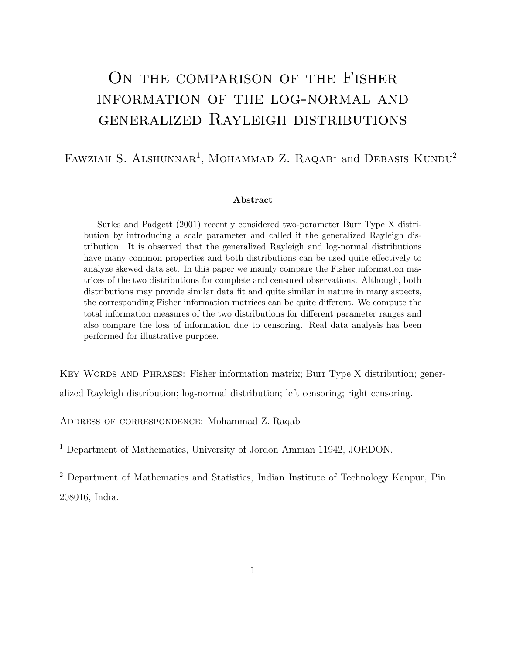# ON THE COMPARISON OF THE FISHER information of the log-normal and generalized Rayleigh distributions

#### FAWZIAH S. ALSHUNNAR<sup>1</sup>, MOHAMMAD Z. RAQAB<sup>1</sup> and DEBASIS KUNDU<sup>2</sup>

#### Abstract

Surles and Padgett (2001) recently considered two-parameter Burr Type X distribution by introducing a scale parameter and called it the generalized Rayleigh distribution. It is observed that the generalized Rayleigh and log-normal distributions have many common properties and both distributions can be used quite effectively to analyze skewed data set. In this paper we mainly compare the Fisher information matrices of the two distributions for complete and censored observations. Although, both distributions may provide similar data fit and quite similar in nature in many aspects, the corresponding Fisher information matrices can be quite different. We compute the total information measures of the two distributions for different parameter ranges and also compare the loss of information due to censoring. Real data analysis has been performed for illustrative purpose.

Key Words and Phrases: Fisher information matrix; Burr Type X distribution; generalized Rayleigh distribution; log-normal distribution; left censoring; right censoring.

Address of correspondence: Mohammad Z. Raqab

<sup>1</sup> Department of Mathematics, University of Jordon Amman 11942, JORDON.

<sup>2</sup> Department of Mathematics and Statistics, Indian Institute of Technology Kanpur, Pin 208016, India.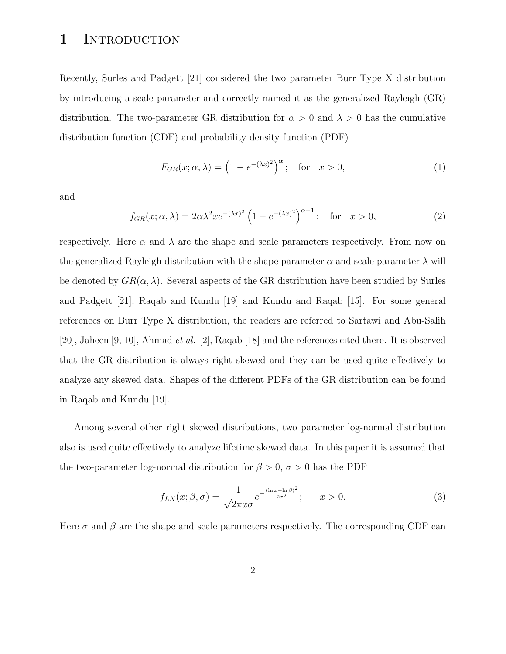### 1 INTRODUCTION

Recently, Surles and Padgett [21] considered the two parameter Burr Type X distribution by introducing a scale parameter and correctly named it as the generalized Rayleigh (GR) distribution. The two-parameter GR distribution for  $\alpha > 0$  and  $\lambda > 0$  has the cumulative distribution function (CDF) and probability density function (PDF)

$$
F_{GR}(x; \alpha, \lambda) = \left(1 - e^{-(\lambda x)^2}\right)^{\alpha}; \quad \text{for} \quad x > 0,
$$
 (1)

and

$$
f_{GR}(x; \alpha, \lambda) = 2\alpha\lambda^2 x e^{-(\lambda x)^2} \left(1 - e^{-(\lambda x)^2}\right)^{\alpha - 1}; \quad \text{for} \quad x > 0,
$$
 (2)

respectively. Here  $\alpha$  and  $\lambda$  are the shape and scale parameters respectively. From now on the generalized Rayleigh distribution with the shape parameter  $\alpha$  and scale parameter  $\lambda$  will be denoted by  $GR(\alpha, \lambda)$ . Several aspects of the GR distribution have been studied by Surles and Padgett [21], Raqab and Kundu [19] and Kundu and Raqab [15]. For some general references on Burr Type X distribution, the readers are referred to Sartawi and Abu-Salih [20], Jaheen [9, 10], Ahmad et al. [2], Raqab [18] and the references cited there. It is observed that the GR distribution is always right skewed and they can be used quite effectively to analyze any skewed data. Shapes of the different PDFs of the GR distribution can be found in Raqab and Kundu [19].

Among several other right skewed distributions, two parameter log-normal distribution also is used quite effectively to analyze lifetime skewed data. In this paper it is assumed that the two-parameter log-normal distribution for  $\beta > 0$ ,  $\sigma > 0$  has the PDF

$$
f_{LN}(x;\beta,\sigma) = \frac{1}{\sqrt{2\pi}x\sigma}e^{-\frac{(\ln x - \ln \beta)^2}{2\sigma^2}}; \qquad x > 0.
$$
 (3)

Here  $\sigma$  and  $\beta$  are the shape and scale parameters respectively. The corresponding CDF can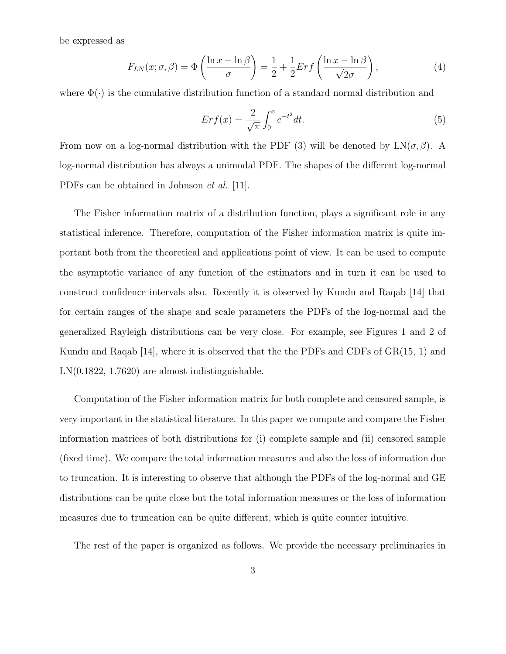be expressed as

$$
F_{LN}(x;\sigma,\beta) = \Phi\left(\frac{\ln x - \ln \beta}{\sigma}\right) = \frac{1}{2} + \frac{1}{2} Erf\left(\frac{\ln x - \ln \beta}{\sqrt{2}\sigma}\right),\tag{4}
$$

where  $\Phi(\cdot)$  is the cumulative distribution function of a standard normal distribution and

$$
Erf(x) = \frac{2}{\sqrt{\pi}} \int_0^x e^{-t^2} dt.
$$
\n
$$
(5)
$$

From now on a log-normal distribution with the PDF (3) will be denoted by  $LN(\sigma, \beta)$ . A log-normal distribution has always a unimodal PDF. The shapes of the different log-normal PDFs can be obtained in Johnson et al. [11].

The Fisher information matrix of a distribution function, plays a significant role in any statistical inference. Therefore, computation of the Fisher information matrix is quite important both from the theoretical and applications point of view. It can be used to compute the asymptotic variance of any function of the estimators and in turn it can be used to construct confidence intervals also. Recently it is observed by Kundu and Raqab [14] that for certain ranges of the shape and scale parameters the PDFs of the log-normal and the generalized Rayleigh distributions can be very close. For example, see Figures 1 and 2 of Kundu and Raqab [14], where it is observed that the the PDFs and CDFs of GR(15, 1) and LN(0.1822, 1.7620) are almost indistinguishable.

Computation of the Fisher information matrix for both complete and censored sample, is very important in the statistical literature. In this paper we compute and compare the Fisher information matrices of both distributions for (i) complete sample and (ii) censored sample (fixed time). We compare the total information measures and also the loss of information due to truncation. It is interesting to observe that although the PDFs of the log-normal and GE distributions can be quite close but the total information measures or the loss of information measures due to truncation can be quite different, which is quite counter intuitive.

The rest of the paper is organized as follows. We provide the necessary preliminaries in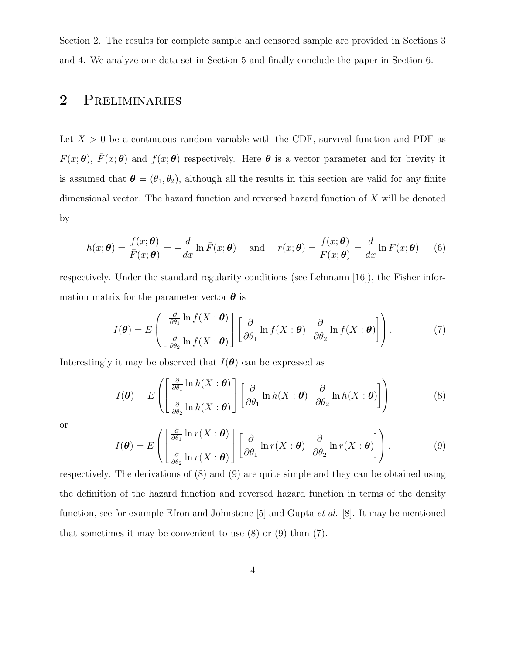Section 2. The results for complete sample and censored sample are provided in Sections 3 and 4. We analyze one data set in Section 5 and finally conclude the paper in Section 6.

# 2 Preliminaries

Let  $X > 0$  be a continuous random variable with the CDF, survival function and PDF as  $F(x; \theta)$ ,  $\bar{F}(x; \theta)$  and  $f(x; \theta)$  respectively. Here  $\theta$  is a vector parameter and for brevity it is assumed that  $\boldsymbol{\theta} = (\theta_1, \theta_2)$ , although all the results in this section are valid for any finite dimensional vector. The hazard function and reversed hazard function of X will be denoted by

$$
h(x; \theta) = \frac{f(x; \theta)}{\overline{F}(x; \theta)} = -\frac{d}{dx} \ln \overline{F}(x; \theta) \quad \text{and} \quad r(x; \theta) = \frac{f(x; \theta)}{F(x; \theta)} = \frac{d}{dx} \ln F(x; \theta) \quad (6)
$$

respectively. Under the standard regularity conditions (see Lehmann [16]), the Fisher information matrix for the parameter vector  $\boldsymbol{\theta}$  is

$$
I(\boldsymbol{\theta}) = E\left( \left[ \frac{\frac{\partial}{\partial \theta_1} \ln f(X : \boldsymbol{\theta})}{\frac{\partial}{\partial \theta_2} \ln f(X : \boldsymbol{\theta})} \right] \left[ \frac{\partial}{\partial \theta_1} \ln f(X : \boldsymbol{\theta}) \frac{\partial}{\partial \theta_2} \ln f(X : \boldsymbol{\theta}) \right] \right).
$$
(7)

Interestingly it may be observed that  $I(\theta)$  can be expressed as

$$
I(\boldsymbol{\theta}) = E\left( \left[ \frac{\frac{\partial}{\partial \theta_1} \ln h(X; \boldsymbol{\theta})}{\frac{\partial}{\partial \theta_2} \ln h(X; \boldsymbol{\theta})} \right] \left[ \frac{\partial}{\partial \theta_1} \ln h(X; \boldsymbol{\theta}) \frac{\partial}{\partial \theta_2} \ln h(X; \boldsymbol{\theta}) \right] \right)
$$
(8)

or

$$
I(\boldsymbol{\theta}) = E\left( \left[ \frac{\frac{\partial}{\partial \theta_1} \ln r(X : \boldsymbol{\theta})}{\frac{\partial}{\partial \theta_2} \ln r(X : \boldsymbol{\theta})} \right] \left[ \frac{\partial}{\partial \theta_1} \ln r(X : \boldsymbol{\theta}) \frac{\partial}{\partial \theta_2} \ln r(X : \boldsymbol{\theta}) \right] \right).
$$
(9)

respectively. The derivations of (8) and (9) are quite simple and they can be obtained using the definition of the hazard function and reversed hazard function in terms of the density function, see for example Efron and Johnstone [5] and Gupta et al. [8]. It may be mentioned that sometimes it may be convenient to use  $(8)$  or  $(9)$  than  $(7)$ .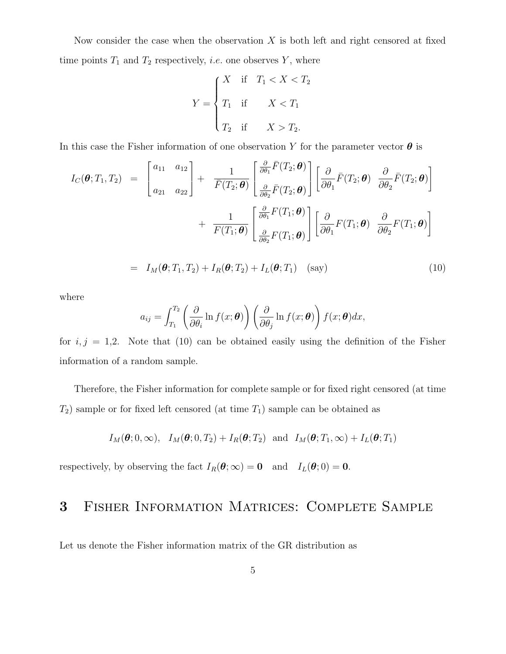Now consider the case when the observation  $X$  is both left and right censored at fixed time points  $T_1$  and  $T_2$  respectively, *i.e.* one observes Y, where

$$
Y = \begin{cases} X & \text{if } T_1 < X < T_2 \\ T_1 & \text{if } X < T_1 \\ T_2 & \text{if } X > T_2. \end{cases}
$$

In this case the Fisher information of one observation Y for the parameter vector  $\boldsymbol{\theta}$  is

$$
I_C(\boldsymbol{\theta}; T_1, T_2) = \begin{bmatrix} a_{11} & a_{12} \\ a_{21} & a_{22} \end{bmatrix} + \frac{1}{\overline{F}(T_2; \boldsymbol{\theta})} \begin{bmatrix} \frac{\partial}{\partial \theta_1} \overline{F}(T_2; \boldsymbol{\theta}) \\ \frac{\partial}{\partial \theta_2} \overline{F}(T_2; \boldsymbol{\theta}) \end{bmatrix} \begin{bmatrix} \frac{\partial}{\partial \theta_1} \overline{F}(T_2; \boldsymbol{\theta}) & \frac{\partial}{\partial \theta_2} \overline{F}(T_2; \boldsymbol{\theta}) \\ \frac{\partial}{\partial \theta_1} \overline{F}(T_1; \boldsymbol{\theta}) & \frac{\partial}{\partial \theta_2} \overline{F}(T_1; \boldsymbol{\theta}) \end{bmatrix} + \frac{1}{\overline{F}(T_1; \boldsymbol{\theta})} \begin{bmatrix} \frac{\partial}{\partial \theta_1} F(T_1; \boldsymbol{\theta}) \\ \frac{\partial}{\partial \theta_2} F(T_1; \boldsymbol{\theta}) \end{bmatrix} \begin{bmatrix} \frac{\partial}{\partial \theta_1} F(T_1; \boldsymbol{\theta}) & \frac{\partial}{\partial \theta_2} F(T_1; \boldsymbol{\theta}) \end{bmatrix}
$$

$$
= I_M(\boldsymbol{\theta}; T_1, T_2) + I_R(\boldsymbol{\theta}; T_2) + I_L(\boldsymbol{\theta}; T_1) \quad \text{(say)}
$$
\n(10)

where

$$
a_{ij} = \int_{T_1}^{T_2} \left( \frac{\partial}{\partial \theta_i} \ln f(x; \boldsymbol{\theta}) \right) \left( \frac{\partial}{\partial \theta_j} \ln f(x; \boldsymbol{\theta}) \right) f(x; \boldsymbol{\theta}) dx,
$$

for  $i, j = 1, 2$ . Note that (10) can be obtained easily using the definition of the Fisher information of a random sample.

Therefore, the Fisher information for complete sample or for fixed right censored (at time  $T_2$ ) sample or for fixed left censored (at time  $T_1$ ) sample can be obtained as

$$
I_M(\boldsymbol{\theta};0,\infty), I_M(\boldsymbol{\theta};0,T_2) + I_R(\boldsymbol{\theta};T_2)
$$
 and  $I_M(\boldsymbol{\theta};T_1,\infty) + I_L(\boldsymbol{\theta};T_1)$ 

respectively, by observing the fact  $I_R(\theta; \infty) = 0$  and  $I_L(\theta; 0) = 0$ .

# 3 Fisher Information Matrices: Complete Sample

Let us denote the Fisher information matrix of the GR distribution as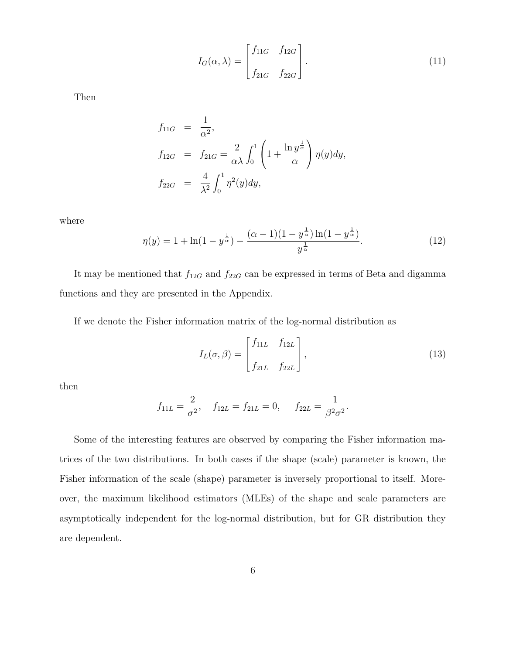$$
I_G(\alpha,\lambda) = \begin{bmatrix} f_{11G} & f_{12G} \\ f_{21G} & f_{22G} \end{bmatrix}.
$$
 (11)

Then

$$
f_{11G} = \frac{1}{\alpha^2},
$$
  
\n
$$
f_{12G} = f_{21G} = \frac{2}{\alpha \lambda} \int_0^1 \left(1 + \frac{\ln y^{\frac{1}{\alpha}}}{\alpha}\right) \eta(y) dy,
$$
  
\n
$$
f_{22G} = \frac{4}{\lambda^2} \int_0^1 \eta^2(y) dy,
$$

where

$$
\eta(y) = 1 + \ln(1 - y^{\frac{1}{\alpha}}) - \frac{(\alpha - 1)(1 - y^{\frac{1}{\alpha}})\ln(1 - y^{\frac{1}{\alpha}})}{y^{\frac{1}{\alpha}}}.
$$
\n(12)

It may be mentioned that  $f_{12G}$  and  $f_{22G}$  can be expressed in terms of Beta and digamma functions and they are presented in the Appendix.

If we denote the Fisher information matrix of the log-normal distribution as

$$
I_L(\sigma,\beta) = \begin{bmatrix} f_{11L} & f_{12L} \\ f_{21L} & f_{22L} \end{bmatrix},
$$
\n(13)

then

$$
f_{11L} = \frac{2}{\sigma^2}
$$
,  $f_{12L} = f_{21L} = 0$ ,  $f_{22L} = \frac{1}{\beta^2 \sigma^2}$ .

Some of the interesting features are observed by comparing the Fisher information matrices of the two distributions. In both cases if the shape (scale) parameter is known, the Fisher information of the scale (shape) parameter is inversely proportional to itself. Moreover, the maximum likelihood estimators (MLEs) of the shape and scale parameters are asymptotically independent for the log-normal distribution, but for GR distribution they are dependent.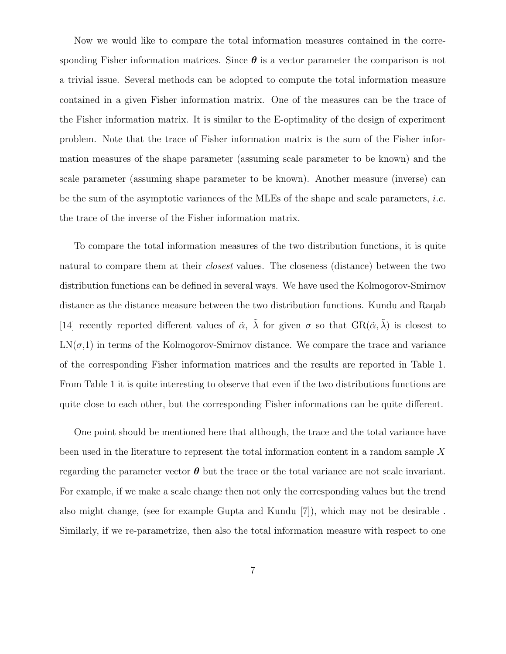Now we would like to compare the total information measures contained in the corresponding Fisher information matrices. Since  $\boldsymbol{\theta}$  is a vector parameter the comparison is not a trivial issue. Several methods can be adopted to compute the total information measure contained in a given Fisher information matrix. One of the measures can be the trace of the Fisher information matrix. It is similar to the E-optimality of the design of experiment problem. Note that the trace of Fisher information matrix is the sum of the Fisher information measures of the shape parameter (assuming scale parameter to be known) and the scale parameter (assuming shape parameter to be known). Another measure (inverse) can be the sum of the asymptotic variances of the MLEs of the shape and scale parameters, *i.e.* the trace of the inverse of the Fisher information matrix.

To compare the total information measures of the two distribution functions, it is quite natural to compare them at their *closest* values. The closeness (distance) between the two distribution functions can be defined in several ways. We have used the Kolmogorov-Smirnov distance as the distance measure between the two distribution functions. Kundu and Raqab [14] recently reported different values of  $\tilde{\alpha}$ ,  $\lambda$  for given  $\sigma$  so that  $\text{GR}(\tilde{\alpha}, \lambda)$  is closest to  $LN(\sigma,1)$  in terms of the Kolmogorov-Smirnov distance. We compare the trace and variance of the corresponding Fisher information matrices and the results are reported in Table 1. From Table 1 it is quite interesting to observe that even if the two distributions functions are quite close to each other, but the corresponding Fisher informations can be quite different.

One point should be mentioned here that although, the trace and the total variance have been used in the literature to represent the total information content in a random sample X regarding the parameter vector  $\theta$  but the trace or the total variance are not scale invariant. For example, if we make a scale change then not only the corresponding values but the trend also might change, (see for example Gupta and Kundu [7]), which may not be desirable . Similarly, if we re-parametrize, then also the total information measure with respect to one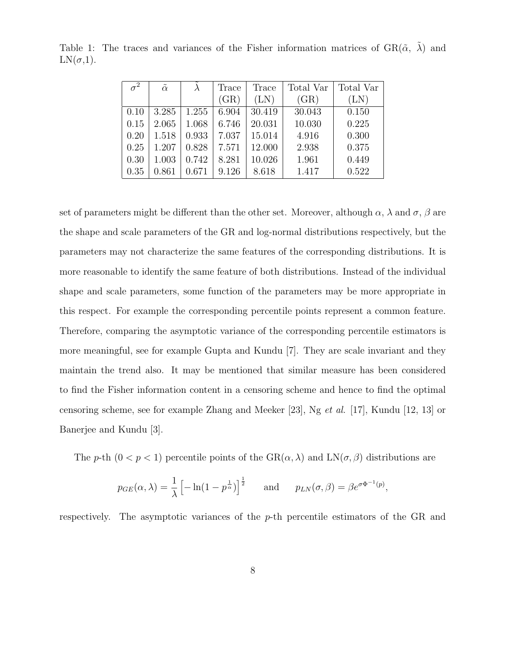| $\sigma^2$ | $\tilde{\alpha}$ |       | Trace | Trace  | Total Var | Total Var  |
|------------|------------------|-------|-------|--------|-----------|------------|
|            |                  |       | (GR)  | (LN)   | (GR)      | $(\rm LN)$ |
| 0.10       | 3.285            | 1.255 | 6.904 | 30.419 | 30.043    | 0.150      |
| 0.15       | 2.065            | 1.068 | 6.746 | 20.031 | 10.030    | 0.225      |
| 0.20       | 1.518            | 0.933 | 7.037 | 15.014 | 4.916     | 0.300      |
| 0.25       | 1.207            | 0.828 | 7.571 | 12.000 | 2.938     | 0.375      |
| 0.30       | 1.003            | 0.742 | 8.281 | 10.026 | 1.961     | 0.449      |
| 0.35       | 0.861            | 0.671 | 9.126 | 8.618  | 1.417     | 0.522      |

Table 1: The traces and variances of the Fisher information matrices of  $\text{GR}(\tilde{\alpha}, \tilde{\lambda})$  and  $LN(\sigma,1)$ .

set of parameters might be different than the other set. Moreover, although  $\alpha$ ,  $\lambda$  and  $\sigma$ ,  $\beta$  are the shape and scale parameters of the GR and log-normal distributions respectively, but the parameters may not characterize the same features of the corresponding distributions. It is more reasonable to identify the same feature of both distributions. Instead of the individual shape and scale parameters, some function of the parameters may be more appropriate in this respect. For example the corresponding percentile points represent a common feature. Therefore, comparing the asymptotic variance of the corresponding percentile estimators is more meaningful, see for example Gupta and Kundu [7]. They are scale invariant and they maintain the trend also. It may be mentioned that similar measure has been considered to find the Fisher information content in a censoring scheme and hence to find the optimal censoring scheme, see for example Zhang and Meeker [23], Ng et al. [17], Kundu [12, 13] or Banerjee and Kundu [3].

The p-th  $(0 < p < 1)$  percentile points of the  $\text{GR}(\alpha, \lambda)$  and  $\text{LN}(\sigma, \beta)$  distributions are

$$
p_{GE}(\alpha, \lambda) = \frac{1}{\lambda} \left[ -\ln(1 - p^{\frac{1}{\alpha}}) \right]^{\frac{1}{2}}
$$
 and  $p_{LN}(\sigma, \beta) = \beta e^{\sigma \Phi^{-1}(p)}$ ,

respectively. The asymptotic variances of the  $p$ -th percentile estimators of the GR and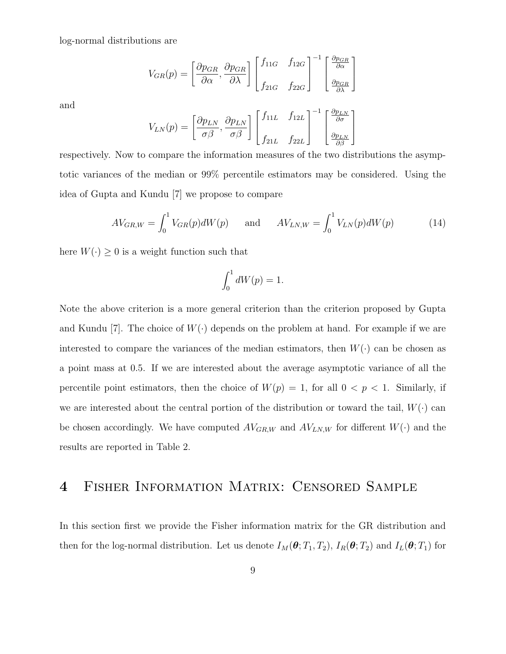log-normal distributions are

$$
V_{GR}(p) = \left[\frac{\partial p_{GR}}{\partial \alpha}, \frac{\partial p_{GR}}{\partial \lambda}\right] \begin{bmatrix} f_{11G} & f_{12G} \\ f_{21G} & f_{22G} \end{bmatrix}^{-1} \begin{bmatrix} \frac{\partial p_{GR}}{\partial \alpha} \\ \frac{\partial p_{GR}}{\partial \lambda} \end{bmatrix}
$$

and

$$
V_{LN}(p) = \left[\frac{\partial p_{LN}}{\sigma \beta}, \frac{\partial p_{LN}}{\sigma \beta}\right] \begin{bmatrix} f_{11L} & f_{12L} \\ f_{21L} & f_{22L} \end{bmatrix}^{-1} \begin{bmatrix} \frac{\partial p_{LN}}{\partial \sigma} \\ \frac{\partial p_{LN}}{\partial \beta} \end{bmatrix}
$$

respectively. Now to compare the information measures of the two distributions the asymptotic variances of the median or 99% percentile estimators may be considered. Using the idea of Gupta and Kundu [7] we propose to compare

$$
AV_{GR,W} = \int_0^1 V_{GR}(p)dW(p) \quad \text{and} \quad AV_{LN,W} = \int_0^1 V_{LN}(p)dW(p) \tag{14}
$$

here  $W(\cdot) \geq 0$  is a weight function such that

$$
\int_0^1 dW(p) = 1.
$$

Note the above criterion is a more general criterion than the criterion proposed by Gupta and Kundu [7]. The choice of  $W(\cdot)$  depends on the problem at hand. For example if we are interested to compare the variances of the median estimators, then  $W(\cdot)$  can be chosen as a point mass at 0.5. If we are interested about the average asymptotic variance of all the percentile point estimators, then the choice of  $W(p) = 1$ , for all  $0 < p < 1$ . Similarly, if we are interested about the central portion of the distribution or toward the tail,  $W(\cdot)$  can be chosen accordingly. We have computed  $AV_{GR,W}$  and  $AV_{LN,W}$  for different  $W(\cdot)$  and the results are reported in Table 2.

#### 4 Fisher Information Matrix: Censored Sample

In this section first we provide the Fisher information matrix for the GR distribution and then for the log-normal distribution. Let us denote  $I_M(\theta; T_1, T_2)$ ,  $I_R(\theta; T_2)$  and  $I_L(\theta; T_1)$  for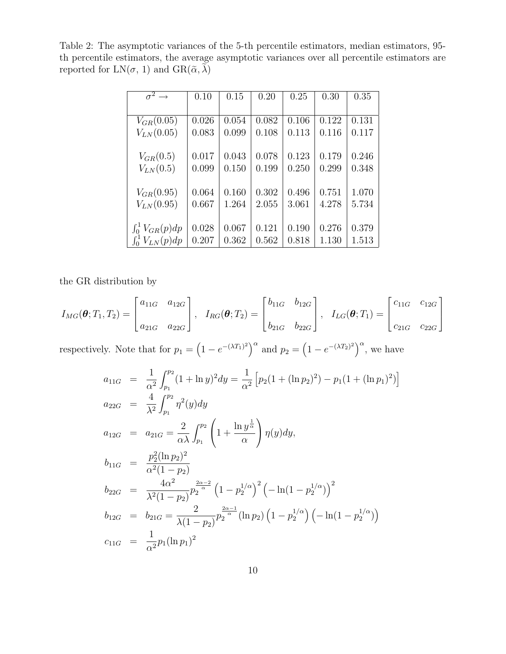Table 2: The asymptotic variances of the 5-th percentile estimators, median estimators, 95 th percentile estimators, the average asymptotic variances over all percentile estimators are reported for  $LN(\sigma, 1)$  and  $GR(\tilde{\alpha}, \lambda)$ 

| $\sigma^2 \rightarrow$  | 0.10  | 0.15  | 0.20  | 0.25  | 0.30  | 0.35  |
|-------------------------|-------|-------|-------|-------|-------|-------|
|                         |       |       |       |       |       |       |
| $V_{GR}(0.05)$          | 0.026 | 0.054 | 0.082 | 0.106 | 0.122 | 0.131 |
| $V_{LN}(0.05)$          | 0.083 | 0.099 | 0.108 | 0.113 | 0.116 | 0.117 |
|                         |       |       |       |       |       |       |
| $V_{GR}(0.5)$           | 0.017 | 0.043 | 0.078 | 0.123 | 0.179 | 0.246 |
| $V_{LN}(0.5)$           | 0.099 | 0.150 | 0.199 | 0.250 | 0.299 | 0.348 |
|                         |       |       |       |       |       |       |
| $V_{GR}(0.95)$          | 0.064 | 0.160 | 0.302 | 0.496 | 0.751 | 1.070 |
| $V_{LN}(0.95)$          | 0.667 | 1.264 | 2.055 | 3.061 | 4.278 | 5.734 |
|                         |       |       |       |       |       |       |
| $\int_0^1 V_{GR}(p) dp$ | 0.028 | 0.067 | 0.121 | 0.190 | 0.276 | 0.379 |
| $\int_0^1 V_{LN}(p) dp$ | 0.207 | 0.362 | 0.562 | 0.818 | 1.130 | 1.513 |

the GR distribution by

$$
I_{MG}(\boldsymbol{\theta}; T_1, T_2) = \begin{bmatrix} a_{11G} & a_{12G} \\ a_{21G} & a_{22G} \end{bmatrix}, \quad I_{RG}(\boldsymbol{\theta}; T_2) = \begin{bmatrix} b_{11G} & b_{12G} \\ b_{21G} & b_{22G} \end{bmatrix}, \quad I_{LG}(\boldsymbol{\theta}; T_1) = \begin{bmatrix} c_{11G} & c_{12G} \\ c_{21G} & c_{22G} \end{bmatrix}
$$

respectively. Note that for  $p_1 = \left(1 - e^{-(\lambda T_1)^2}\right)^{\alpha}$  and  $p_2 = \left(1 - e^{-(\lambda T_2)^2}\right)^{\alpha}$ , we have

$$
a_{11G} = \frac{1}{\alpha^2} \int_{p_1}^{p_2} (1 + \ln y)^2 dy = \frac{1}{\alpha^2} \left[ p_2 (1 + (\ln p_2)^2) - p_1 (1 + (\ln p_1)^2) \right]
$$
  
\n
$$
a_{22G} = \frac{4}{\lambda^2} \int_{p_1}^{p_2} \eta^2(y) dy
$$
  
\n
$$
a_{12G} = a_{21G} = \frac{2}{\alpha \lambda} \int_{p_1}^{p_2} \left( 1 + \frac{\ln y^{\frac{1}{\alpha}}}{\alpha} \right) \eta(y) dy,
$$
  
\n
$$
b_{11G} = \frac{p_2^2 (\ln p_2)^2}{\alpha^2 (1 - p_2)}
$$
  
\n
$$
b_{22G} = \frac{4\alpha^2}{\lambda^2 (1 - p_2)} p_2^{\frac{2\alpha - 2}{\alpha}} (1 - p_2^{1/\alpha})^2 \left( -\ln(1 - p_2^{1/\alpha}) \right)^2
$$
  
\n
$$
b_{12G} = b_{21G} = \frac{2}{\lambda (1 - p_2)} p_2^{\frac{2\alpha - 1}{\alpha}} (\ln p_2) (1 - p_2^{1/\alpha}) \left( -\ln(1 - p_2^{1/\alpha}) \right)
$$
  
\n
$$
c_{11G} = \frac{1}{\alpha^2} p_1 (\ln p_1)^2
$$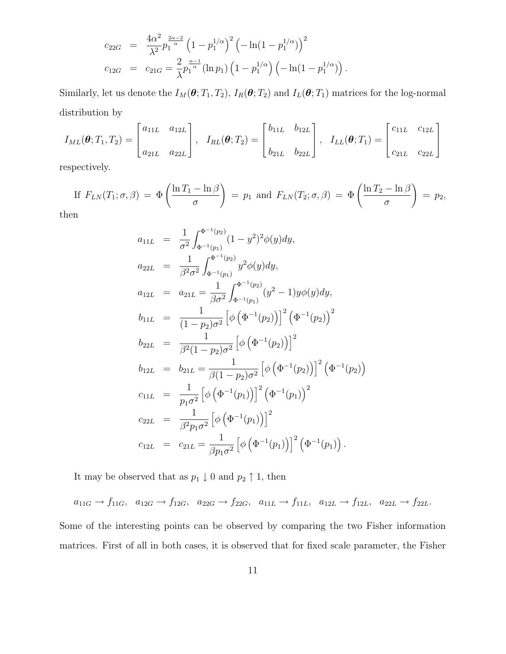$$
c_{22G} = \frac{4\alpha^2}{\lambda^2} p_1^{\frac{2\alpha-2}{\alpha}} \left(1 - p_1^{1/\alpha}\right)^2 \left(-\ln(1 - p_1^{1/\alpha})\right)^2
$$
  

$$
c_{12G} = c_{21G} = \frac{2}{\lambda} p_1^{\frac{\alpha-1}{\alpha}} (\ln p_1) \left(1 - p_1^{1/\alpha}\right) \left(-\ln(1 - p_1^{1/\alpha})\right)
$$

Similarly, let us denote the  $I_M(\theta; T_1, T_2)$ ,  $I_R(\theta; T_2)$  and  $I_L(\theta; T_1)$  matrices for the log-normal distribution by

.

$$
I_{ML}(\boldsymbol{\theta}; T_1, T_2) = \begin{bmatrix} a_{11L} & a_{12L} \\ a_{21L} & a_{22L} \end{bmatrix}, I_{RL}(\boldsymbol{\theta}; T_2) = \begin{bmatrix} b_{11L} & b_{12L} \\ b_{21L} & b_{22L} \end{bmatrix}, I_{LL}(\boldsymbol{\theta}; T_1) = \begin{bmatrix} c_{11L} & c_{12L} \\ c_{21L} & c_{22L} \end{bmatrix}
$$

respectively.

If 
$$
F_{LN}(T_1; \sigma, \beta) = \Phi\left(\frac{\ln T_1 - \ln \beta}{\sigma}\right) = p_1
$$
 and  $F_{LN}(T_2; \sigma, \beta) = \Phi\left(\frac{\ln T_2 - \ln \beta}{\sigma}\right) = p_2$ ,

then

$$
a_{11L} = \frac{1}{\sigma^2} \int_{\Phi^{-1}(p_1)}^{\Phi^{-1}(p_2)} (1 - y^2)^2 \phi(y) dy,
$$
  
\n
$$
a_{22L} = \frac{1}{\beta^2 \sigma^2} \int_{\Phi^{-1}(p_1)}^{\Phi^{-1}(p_2)} y^2 \phi(y) dy,
$$
  
\n
$$
a_{12L} = a_{21L} = \frac{1}{\beta \sigma^2} \int_{\Phi^{-1}(p_1)}^{\Phi^{-1}(p_2)} (y^2 - 1) y \phi(y) dy,
$$
  
\n
$$
b_{11L} = \frac{1}{(1 - p_2) \sigma^2} \left[ \phi \left( \Phi^{-1}(p_2) \right) \right]^2 \left( \Phi^{-1}(p_2) \right)^2
$$
  
\n
$$
b_{22L} = \frac{1}{\beta^2 (1 - p_2) \sigma^2} \left[ \phi \left( \Phi^{-1}(p_2) \right) \right]^2
$$
  
\n
$$
b_{12L} = b_{21L} = \frac{1}{\beta (1 - p_2) \sigma^2} \left[ \phi \left( \Phi^{-1}(p_2) \right) \right]^2 \left( \Phi^{-1}(p_2) \right)
$$
  
\n
$$
c_{11L} = \frac{1}{p_1 \sigma^2} \left[ \phi \left( \Phi^{-1}(p_1) \right) \right]^2 \left( \Phi^{-1}(p_1) \right)^2
$$
  
\n
$$
c_{22L} = \frac{1}{\beta^2 p_1 \sigma^2} \left[ \phi \left( \Phi^{-1}(p_1) \right) \right]^2
$$
  
\n
$$
c_{12L} = c_{21L} = \frac{1}{\beta p_1 \sigma^2} \left[ \phi \left( \Phi^{-1}(p_1) \right) \right]^2 \left( \Phi^{-1}(p_1) \right).
$$

It may be observed that as  $p_1\downarrow 0$  and  $p_2\uparrow 1,$  then

$$
a_{11G} \rightarrow f_{11G}, \quad a_{12G} \rightarrow f_{12G}, \quad a_{22G} \rightarrow f_{22G}, \quad a_{11L} \rightarrow f_{11L}, \quad a_{12L} \rightarrow f_{12L}, \quad a_{22L} \rightarrow f_{22L}.
$$

Some of the interesting points can be observed by comparing the two Fisher information matrices. First of all in both cases, it is observed that for fixed scale parameter, the Fisher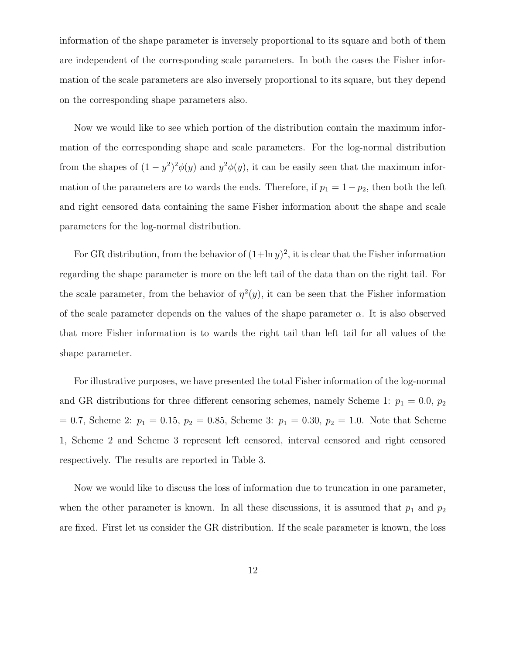information of the shape parameter is inversely proportional to its square and both of them are independent of the corresponding scale parameters. In both the cases the Fisher information of the scale parameters are also inversely proportional to its square, but they depend on the corresponding shape parameters also.

Now we would like to see which portion of the distribution contain the maximum information of the corresponding shape and scale parameters. For the log-normal distribution from the shapes of  $(1 - y^2)^2 \phi(y)$  and  $y^2 \phi(y)$ , it can be easily seen that the maximum information of the parameters are to wards the ends. Therefore, if  $p_1 = 1-p_2$ , then both the left and right censored data containing the same Fisher information about the shape and scale parameters for the log-normal distribution.

For GR distribution, from the behavior of  $(1+\ln y)^2$ , it is clear that the Fisher information regarding the shape parameter is more on the left tail of the data than on the right tail. For the scale parameter, from the behavior of  $\eta^2(y)$ , it can be seen that the Fisher information of the scale parameter depends on the values of the shape parameter  $\alpha$ . It is also observed that more Fisher information is to wards the right tail than left tail for all values of the shape parameter.

For illustrative purposes, we have presented the total Fisher information of the log-normal and GR distributions for three different censoring schemes, namely Scheme 1:  $p_1 = 0.0, p_2$  $= 0.7$ , Scheme 2:  $p_1 = 0.15$ ,  $p_2 = 0.85$ , Scheme 3:  $p_1 = 0.30$ ,  $p_2 = 1.0$ . Note that Scheme 1, Scheme 2 and Scheme 3 represent left censored, interval censored and right censored respectively. The results are reported in Table 3.

Now we would like to discuss the loss of information due to truncation in one parameter, when the other parameter is known. In all these discussions, it is assumed that  $p_1$  and  $p_2$ are fixed. First let us consider the GR distribution. If the scale parameter is known, the loss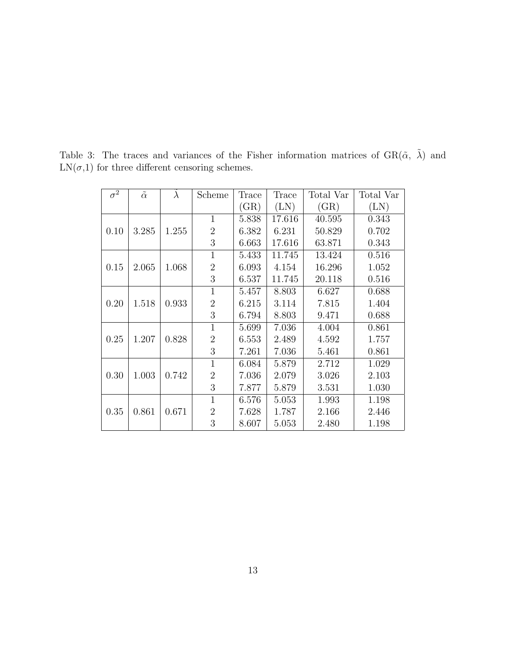| $\overline{\sigma^2}$ | $\tilde{\alpha}$ | $\lambda$ | Scheme         | Trace | Trace  | Total Var | Total Var  |
|-----------------------|------------------|-----------|----------------|-------|--------|-----------|------------|
|                       |                  |           |                | (GR)  | (LN)   | (GR)      | $(\rm LN)$ |
|                       |                  |           | 1              | 5.838 | 17.616 | 40.595    | 0.343      |
| 0.10                  | 3.285            | 1.255     | $\overline{2}$ | 6.382 | 6.231  | 50.829    | 0.702      |
|                       |                  |           | 3              | 6.663 | 17.616 | 63.871    | 0.343      |
|                       |                  |           | 1              | 5.433 | 11.745 | 13.424    | 0.516      |
| 0.15                  | 2.065            | 1.068     | $\overline{2}$ | 6.093 | 4.154  | 16.296    | 1.052      |
|                       |                  |           | 3              | 6.537 | 11.745 | 20.118    | 0.516      |
|                       |                  |           | 1              | 5.457 | 8.803  | 6.627     | 0.688      |
| 0.20                  | 1.518            | 0.933     | $\overline{2}$ | 6.215 | 3.114  | 7.815     | 1.404      |
|                       |                  |           | 3              | 6.794 | 8.803  | 9.471     | 0.688      |
|                       |                  |           | $\mathbf{1}$   | 5.699 | 7.036  | 4.004     | 0.861      |
| 0.25                  | 1.207            | 0.828     | $\overline{2}$ | 6.553 | 2.489  | 4.592     | 1.757      |
|                       |                  |           | 3              | 7.261 | 7.036  | 5.461     | 0.861      |
|                       |                  |           | $\mathbf{1}$   | 6.084 | 5.879  | 2.712     | 1.029      |
| 0.30                  | 1.003            | 0.742     | $\overline{2}$ | 7.036 | 2.079  | 3.026     | 2.103      |
|                       |                  |           | 3              | 7.877 | 5.879  | 3.531     | 1.030      |
|                       |                  |           | 1              | 6.576 | 5.053  | 1.993     | 1.198      |
| 0.35                  | 0.861            | 0.671     | $\overline{2}$ | 7.628 | 1.787  | 2.166     | 2.446      |
|                       |                  |           | 3              | 8.607 | 5.053  | 2.480     | 1.198      |

Table 3: The traces and variances of the Fisher information matrices of  $GR(\tilde{\alpha}, \tilde{\lambda})$  and  $LN(\sigma, 1)$  for three different censoring schemes.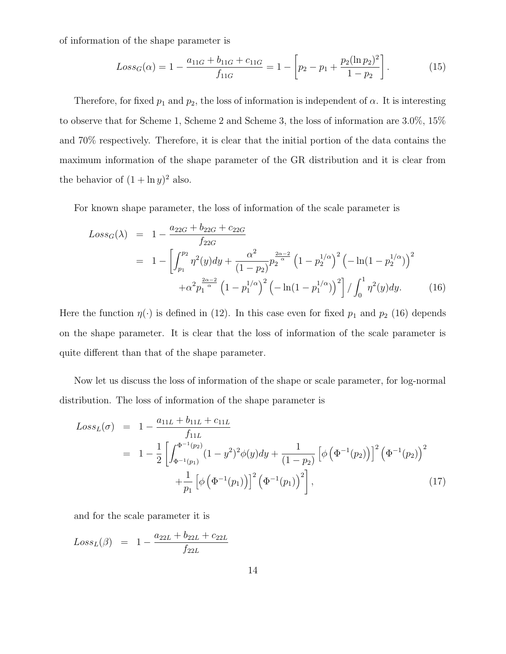of information of the shape parameter is

$$
Loss_G(\alpha) = 1 - \frac{a_{11G} + b_{11G} + c_{11G}}{f_{11G}} = 1 - \left[ p_2 - p_1 + \frac{p_2(\ln p_2)^2}{1 - p_2} \right].
$$
 (15)

Therefore, for fixed  $p_1$  and  $p_2$ , the loss of information is independent of  $\alpha$ . It is interesting to observe that for Scheme 1, Scheme 2 and Scheme 3, the loss of information are 3.0%, 15% and 70% respectively. Therefore, it is clear that the initial portion of the data contains the maximum information of the shape parameter of the GR distribution and it is clear from the behavior of  $(1 + \ln y)^2$  also.

For known shape parameter, the loss of information of the scale parameter is

$$
Loss_G(\lambda) = 1 - \frac{a_{22G} + b_{22G} + c_{22G}}{f_{22G}}
$$
  
= 
$$
1 - \left[ \int_{p_1}^{p_2} \eta^2(y) dy + \frac{\alpha^2}{(1 - p_2)} p_2^{\frac{2\alpha - 2}{\alpha}} \left( 1 - p_2^{1/\alpha} \right)^2 \left( -\ln(1 - p_2^{1/\alpha}) \right)^2 + \alpha^2 p_1^{\frac{2\alpha - 2}{\alpha}} \left( 1 - p_1^{1/\alpha} \right)^2 \left( -\ln(1 - p_1^{1/\alpha}) \right)^2 \right] / \int_0^1 \eta^2(y) dy.
$$
 (16)

Here the function  $\eta(\cdot)$  is defined in (12). In this case even for fixed  $p_1$  and  $p_2$  (16) depends on the shape parameter. It is clear that the loss of information of the scale parameter is quite different than that of the shape parameter.

Now let us discuss the loss of information of the shape or scale parameter, for log-normal distribution. The loss of information of the shape parameter is

$$
Loss_L(\sigma) = 1 - \frac{a_{11L} + b_{11L} + c_{11L}}{f_{11L}}
$$
  
= 
$$
1 - \frac{1}{2} \left[ \int_{\Phi^{-1}(p_1)}^{\Phi^{-1}(p_2)} (1 - y^2)^2 \phi(y) dy + \frac{1}{(1 - p_2)} \left[ \phi \left( \Phi^{-1}(p_2) \right) \right]^2 \left( \Phi^{-1}(p_2) \right)^2 + \frac{1}{p_1} \left[ \phi \left( \Phi^{-1}(p_1) \right) \right]^2 \left( \Phi^{-1}(p_1) \right)^2 \right],
$$
 (17)

and for the scale parameter it is

$$
Loss_L(\beta) = 1 - \frac{a_{22L} + b_{22L} + c_{22L}}{f_{22L}}
$$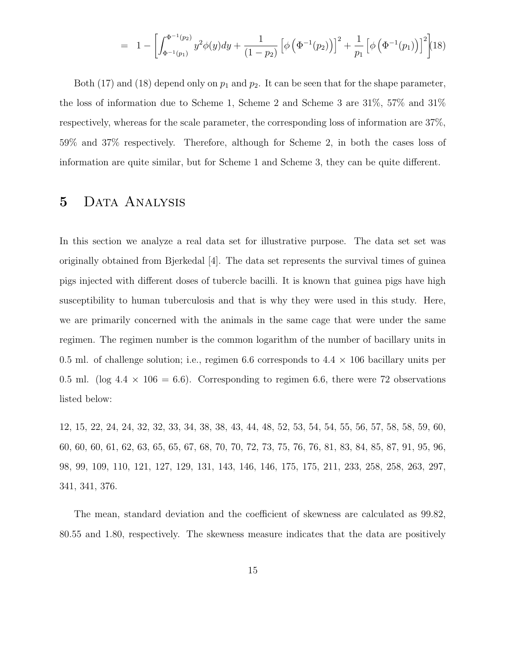$$
= 1 - \left[ \int_{\Phi^{-1}(p_1)}^{\Phi^{-1}(p_2)} y^2 \phi(y) dy + \frac{1}{(1-p_2)} \left[ \phi \left( \Phi^{-1}(p_2) \right) \right]^2 + \frac{1}{p_1} \left[ \phi \left( \Phi^{-1}(p_1) \right) \right]^2 \right] (18)
$$

Both (17) and (18) depend only on  $p_1$  and  $p_2$ . It can be seen that for the shape parameter, the loss of information due to Scheme 1, Scheme 2 and Scheme 3 are 31%, 57% and 31% respectively, whereas for the scale parameter, the corresponding loss of information are 37%, 59% and 37% respectively. Therefore, although for Scheme 2, in both the cases loss of information are quite similar, but for Scheme 1 and Scheme 3, they can be quite different.

#### 5 Data Analysis

In this section we analyze a real data set for illustrative purpose. The data set set was originally obtained from Bjerkedal [4]. The data set represents the survival times of guinea pigs injected with different doses of tubercle bacilli. It is known that guinea pigs have high susceptibility to human tuberculosis and that is why they were used in this study. Here, we are primarily concerned with the animals in the same cage that were under the same regimen. The regimen number is the common logarithm of the number of bacillary units in 0.5 ml. of challenge solution; i.e., regimen 6.6 corresponds to  $4.4 \times 106$  bacillary units per 0.5 ml. (log  $4.4 \times 106 = 6.6$ ). Corresponding to regimen 6.6, there were 72 observations listed below:

12, 15, 22, 24, 24, 32, 32, 33, 34, 38, 38, 43, 44, 48, 52, 53, 54, 54, 55, 56, 57, 58, 58, 59, 60, 60, 60, 60, 61, 62, 63, 65, 65, 67, 68, 70, 70, 72, 73, 75, 76, 76, 81, 83, 84, 85, 87, 91, 95, 96, 98, 99, 109, 110, 121, 127, 129, 131, 143, 146, 146, 175, 175, 211, 233, 258, 258, 263, 297, 341, 341, 376.

The mean, standard deviation and the coefficient of skewness are calculated as 99.82, 80.55 and 1.80, respectively. The skewness measure indicates that the data are positively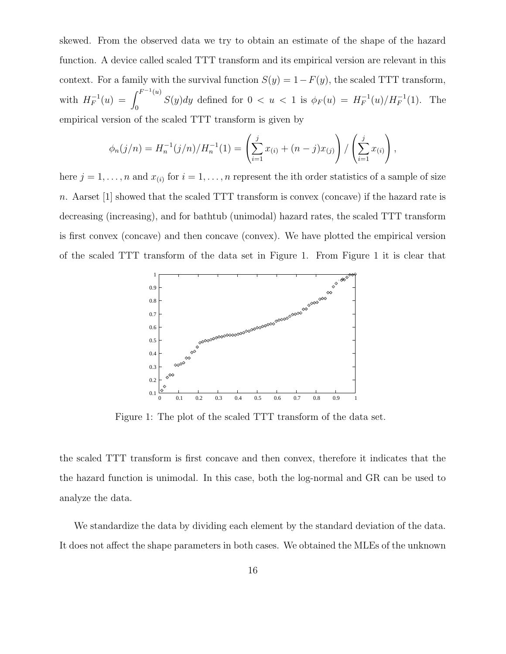skewed. From the observed data we try to obtain an estimate of the shape of the hazard function. A device called scaled TTT transform and its empirical version are relevant in this context. For a family with the survival function  $S(y) = 1 - F(y)$ , the scaled TTT transform, with  $H_F^{-1}(u) =$  $\int F^{-1}(u)$  $\int_0^{\pi}$   $S(y)dy$  defined for  $0 < u < 1$  is  $\phi_F(u) = H_F^{-1}(u)/H_F^{-1}(1)$ . The empirical version of the scaled TTT transform is given by

$$
\phi_n(j/n) = H_n^{-1}(j/n)/H_n^{-1}(1) = \left(\sum_{i=1}^j x_{(i)} + (n-j)x_{(j)}\right)/\left(\sum_{i=1}^j x_{(i)}\right),
$$

here  $j = 1, \ldots, n$  and  $x_{(i)}$  for  $i = 1, \ldots, n$  represent the ith order statistics of a sample of size n. Aarset [1] showed that the scaled TTT transform is convex (concave) if the hazard rate is decreasing (increasing), and for bathtub (unimodal) hazard rates, the scaled TTT transform is first convex (concave) and then concave (convex). We have plotted the empirical version of the scaled TTT transform of the data set in Figure 1. From Figure 1 it is clear that



Figure 1: The plot of the scaled TTT transform of the data set.

the scaled TTT transform is first concave and then convex, therefore it indicates that the the hazard function is unimodal. In this case, both the log-normal and GR can be used to analyze the data.

We standardize the data by dividing each element by the standard deviation of the data. It does not affect the shape parameters in both cases. We obtained the MLEs of the unknown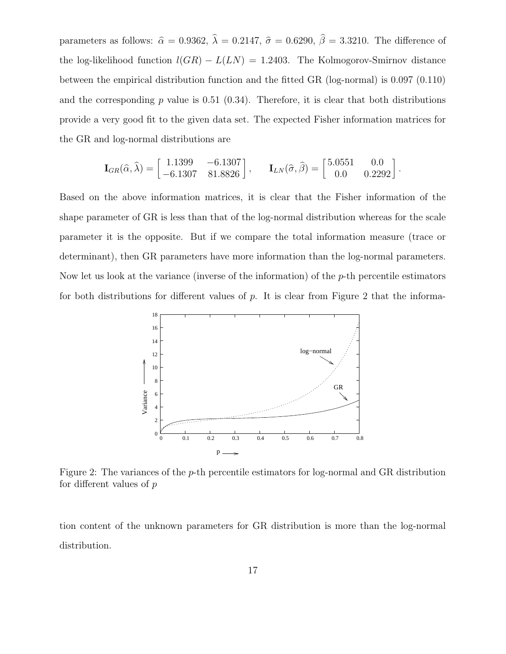parameters as follows:  $\hat{\alpha} = 0.9362$ ,  $\hat{\lambda} = 0.2147$ ,  $\hat{\sigma} = 0.6290$ ,  $\hat{\beta} = 3.3210$ . The difference of the log-likelihood function  $l(GR) - L(LN) = 1.2403$ . The Kolmogorov-Smirnov distance between the empirical distribution function and the fitted GR (log-normal) is 0.097 (0.110) and the corresponding  $p$  value is 0.51 (0.34). Therefore, it is clear that both distributions provide a very good fit to the given data set. The expected Fisher information matrices for the GR and log-normal distributions are

$$
\mathbf{I}_{GR}(\hat{\alpha}, \hat{\lambda}) = \begin{bmatrix} 1.1399 & -6.1307 \\ -6.1307 & 81.8826 \end{bmatrix}, \quad \mathbf{I}_{LN}(\hat{\sigma}, \hat{\beta}) = \begin{bmatrix} 5.0551 & 0.0 \\ 0.0 & 0.2292 \end{bmatrix}.
$$

Based on the above information matrices, it is clear that the Fisher information of the shape parameter of GR is less than that of the log-normal distribution whereas for the scale parameter it is the opposite. But if we compare the total information measure (trace or determinant), then GR parameters have more information than the log-normal parameters. Now let us look at the variance (inverse of the information) of the  $p$ -th percentile estimators for both distributions for different values of  $p$ . It is clear from Figure 2 that the informa-



Figure 2: The variances of the p-th percentile estimators for log-normal and GR distribution for different values of p

tion content of the unknown parameters for GR distribution is more than the log-normal distribution.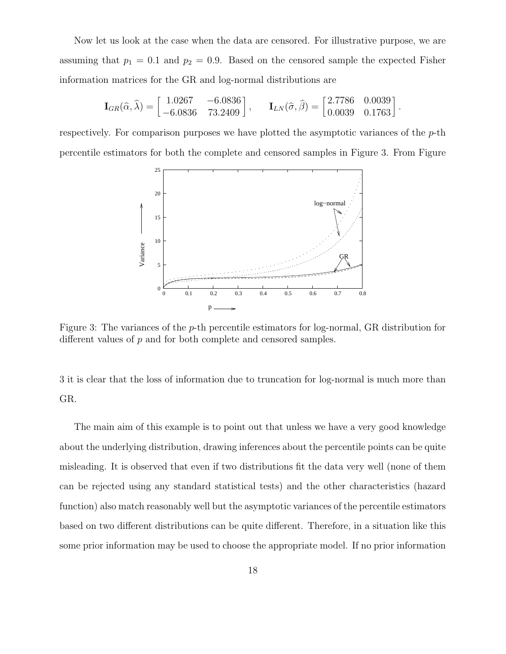Now let us look at the case when the data are censored. For illustrative purpose, we are assuming that  $p_1 = 0.1$  and  $p_2 = 0.9$ . Based on the censored sample the expected Fisher information matrices for the GR and log-normal distributions are

$$
\mathbf{I}_{GR}(\hat{\alpha}, \hat{\lambda}) = \begin{bmatrix} 1.0267 & -6.0836 \\ -6.0836 & 73.2409 \end{bmatrix}, \quad \mathbf{I}_{LN}(\hat{\sigma}, \hat{\beta}) = \begin{bmatrix} 2.7786 & 0.0039 \\ 0.0039 & 0.1763 \end{bmatrix}.
$$

respectively. For comparison purposes we have plotted the asymptotic variances of the  $p$ -th percentile estimators for both the complete and censored samples in Figure 3. From Figure



Figure 3: The variances of the p-th percentile estimators for log-normal, GR distribution for different values of p and for both complete and censored samples.

3 it is clear that the loss of information due to truncation for log-normal is much more than GR.

The main aim of this example is to point out that unless we have a very good knowledge about the underlying distribution, drawing inferences about the percentile points can be quite misleading. It is observed that even if two distributions fit the data very well (none of them can be rejected using any standard statistical tests) and the other characteristics (hazard function) also match reasonably well but the asymptotic variances of the percentile estimators based on two different distributions can be quite different. Therefore, in a situation like this some prior information may be used to choose the appropriate model. If no prior information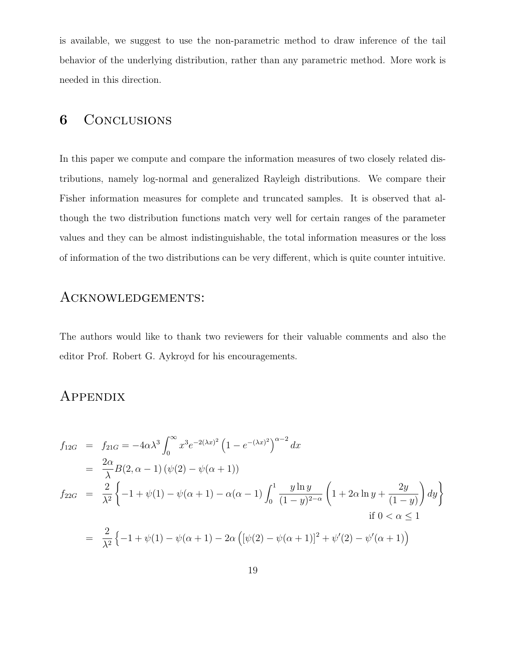is available, we suggest to use the non-parametric method to draw inference of the tail behavior of the underlying distribution, rather than any parametric method. More work is needed in this direction.

#### **6** CONCLUSIONS

In this paper we compute and compare the information measures of two closely related distributions, namely log-normal and generalized Rayleigh distributions. We compare their Fisher information measures for complete and truncated samples. It is observed that although the two distribution functions match very well for certain ranges of the parameter values and they can be almost indistinguishable, the total information measures or the loss of information of the two distributions can be very different, which is quite counter intuitive.

#### ACKNOWLEDGEMENTS:

The authors would like to thank two reviewers for their valuable comments and also the editor Prof. Robert G. Aykroyd for his encouragements.

### **APPENDIX**

$$
f_{12G} = f_{21G} = -4\alpha\lambda^3 \int_0^\infty x^3 e^{-2(\lambda x)^2} \left(1 - e^{-(\lambda x)^2}\right)^{\alpha - 2} dx
$$
  
\n
$$
= \frac{2\alpha}{\lambda} B(2, \alpha - 1) \left(\psi(2) - \psi(\alpha + 1)\right)
$$
  
\n
$$
f_{22G} = \frac{2}{\lambda^2} \left\{-1 + \psi(1) - \psi(\alpha + 1) - \alpha(\alpha - 1) \int_0^1 \frac{y \ln y}{(1 - y)^{2 - \alpha}} \left(1 + 2\alpha \ln y + \frac{2y}{(1 - y)}\right) dy\right\}
$$
  
\nif  $0 < \alpha \le 1$   
\n
$$
= \frac{2}{\lambda^2} \left\{-1 + \psi(1) - \psi(\alpha + 1) - 2\alpha \left( [\psi(2) - \psi(\alpha + 1)]^2 + \psi'(2) - \psi'(\alpha + 1) \right) \right\}
$$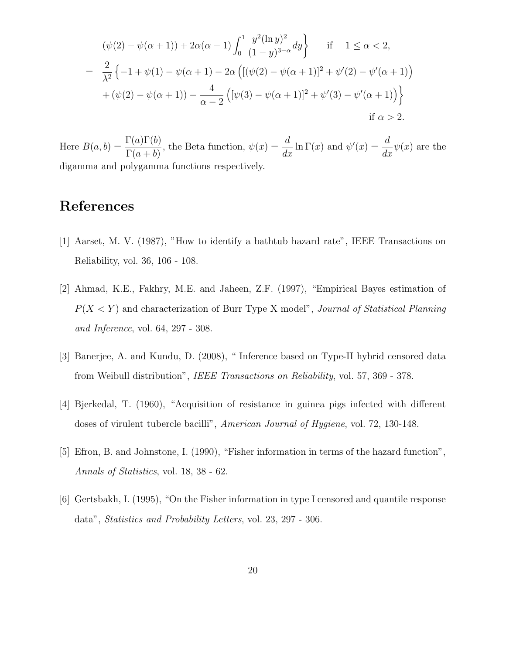$$
(\psi(2) - \psi(\alpha + 1)) + 2\alpha(\alpha - 1) \int_0^1 \frac{y^2 (\ln y)^2}{(1 - y)^{3 - \alpha}} dy \qquad \text{if} \quad 1 \le \alpha < 2,
$$
  
=  $\frac{2}{\lambda^2} \{-1 + \psi(1) - \psi(\alpha + 1) - 2\alpha \left( [(\psi(2) - \psi(\alpha + 1)]^2 + \psi'(2) - \psi'(\alpha + 1) \right) + (\psi(2) - \psi(\alpha + 1)) - \frac{4}{\alpha - 2} \left( [\psi(3) - \psi(\alpha + 1)]^2 + \psi'(3) - \psi'(\alpha + 1) \right) \right\}$   
if  $\alpha > 2$ .

Here  $B(a, b) =$  $\Gamma(a)\Gamma(b)$  $\Gamma(a+b)$ , the Beta function,  $\psi(x) =$ d  $\frac{d}{dx}$  ln  $\Gamma(x)$  and  $\psi'(x) =$ d  $\frac{d}{dx}\psi(x)$  are the digamma and polygamma functions respectively.

## References

- [1] Aarset, M. V. (1987), "How to identify a bathtub hazard rate", IEEE Transactions on Reliability, vol. 36, 106 - 108.
- [2] Ahmad, K.E., Fakhry, M.E. and Jaheen, Z.F. (1997), "Empirical Bayes estimation of  $P(X \le Y)$  and characterization of Burr Type X model", *Journal of Statistical Planning* and Inference, vol. 64, 297 - 308.
- [3] Banerjee, A. and Kundu, D. (2008), " Inference based on Type-II hybrid censored data from Weibull distribution", IEEE Transactions on Reliability, vol. 57, 369 - 378.
- [4] Bjerkedal, T. (1960), "Acquisition of resistance in guinea pigs infected with different doses of virulent tubercle bacilli", American Journal of Hygiene, vol. 72, 130-148.
- [5] Efron, B. and Johnstone, I. (1990), "Fisher information in terms of the hazard function", Annals of Statistics, vol. 18, 38 - 62.
- [6] Gertsbakh, I. (1995), "On the Fisher information in type I censored and quantile response data", Statistics and Probability Letters, vol. 23, 297 - 306.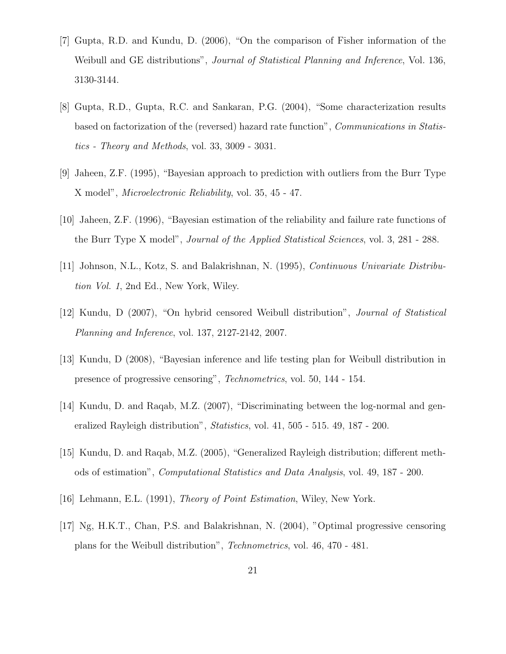- [7] Gupta, R.D. and Kundu, D. (2006), "On the comparison of Fisher information of the Weibull and GE distributions", *Journal of Statistical Planning and Inference*, Vol. 136, 3130-3144.
- [8] Gupta, R.D., Gupta, R.C. and Sankaran, P.G. (2004), "Some characterization results based on factorization of the (reversed) hazard rate function", Communications in Statistics - Theory and Methods, vol. 33, 3009 - 3031.
- [9] Jaheen, Z.F. (1995), "Bayesian approach to prediction with outliers from the Burr Type X model", Microelectronic Reliability, vol. 35, 45 - 47.
- [10] Jaheen, Z.F. (1996), "Bayesian estimation of the reliability and failure rate functions of the Burr Type X model", Journal of the Applied Statistical Sciences, vol. 3, 281 - 288.
- [11] Johnson, N.L., Kotz, S. and Balakrishnan, N. (1995), Continuous Univariate Distribution Vol. 1, 2nd Ed., New York, Wiley.
- [12] Kundu, D (2007), "On hybrid censored Weibull distribution", Journal of Statistical Planning and Inference, vol. 137, 2127-2142, 2007.
- [13] Kundu, D (2008), "Bayesian inference and life testing plan for Weibull distribution in presence of progressive censoring", Technometrics, vol. 50, 144 - 154.
- [14] Kundu, D. and Raqab, M.Z. (2007), "Discriminating between the log-normal and generalized Rayleigh distribution", Statistics, vol. 41, 505 - 515. 49, 187 - 200.
- [15] Kundu, D. and Raqab, M.Z. (2005), "Generalized Rayleigh distribution; different methods of estimation", Computational Statistics and Data Analysis, vol. 49, 187 - 200.
- [16] Lehmann, E.L. (1991), Theory of Point Estimation, Wiley, New York.
- [17] Ng, H.K.T., Chan, P.S. and Balakrishnan, N. (2004), "Optimal progressive censoring plans for the Weibull distribution", Technometrics, vol. 46, 470 - 481.